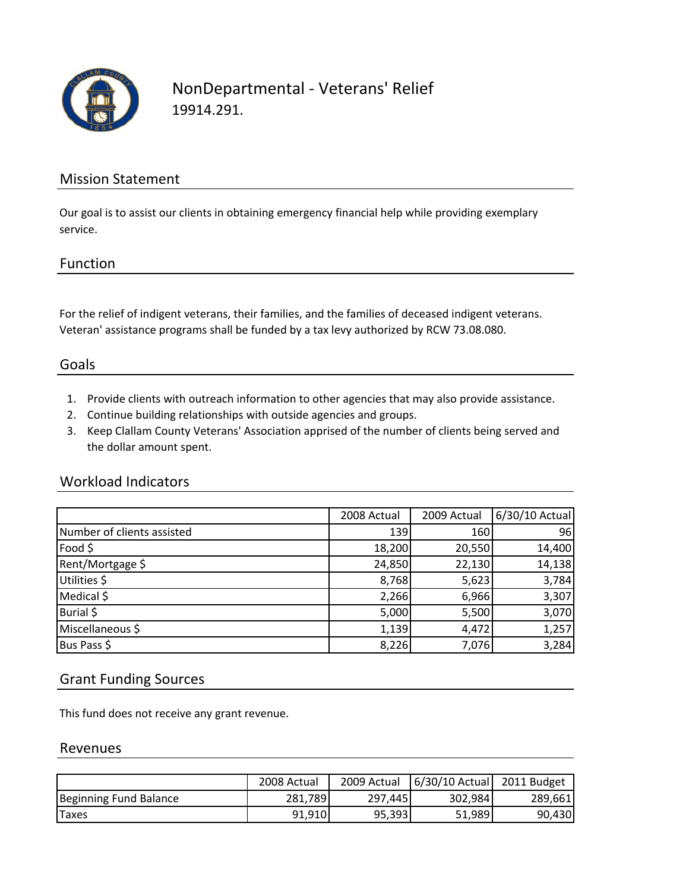

## NonDepartmental ‐ Veterans' Relief 19914.291.

## Mission Statement

Our goal is to assist our clients in obtaining emergency financial help while providing exemplary service.

## Function

For the relief of indigent veterans, their families, and the families of deceased indigent veterans. Veteran' assistance programs shall be funded by a tax levy authorized by RCW 73.08.080.

## Goals

- 1. Provide clients with outreach information to other agencies that may also provide assistance.
- 2. Continue building relationships with outside agencies and groups.
- 3. Keep Clallam County Veterans' Association apprised of the number of clients being served and the dollar amount spent.

#### Workload Indicators

|                            | 2008 Actual | 2009 Actual | 6/30/10 Actual |
|----------------------------|-------------|-------------|----------------|
| Number of clients assisted | 139         | 160         | 96             |
| Food \$                    | 18,200      | 20,550      | 14,400         |
| Rent/Mortgage \$           | 24,850      | 22,130      | 14,138         |
| Utilities \$               | 8,768       | 5,623       | 3,784          |
| Medical \$                 | 2,266       | 6,966       | 3,307          |
| Burial \$                  | 5,000       | 5,500       | 3,070          |
| Miscellaneous \$           | 1,139       | 4,472       | 1,257          |
| Bus Pass \$                | 8,226       | 7,076       | 3,284          |

### Grant Funding Sources

This fund does not receive any grant revenue.

#### Revenues

|                        | 2008 Actual | 2009 Actual | 6/30/10 Actual | 2011 Budget |
|------------------------|-------------|-------------|----------------|-------------|
| Beginning Fund Balance | 281.789     | 297.445     | 302,984        | 289,661     |
| <b>Taxes</b>           | 91.910      | 95,393      | 51,989         | 90,430      |